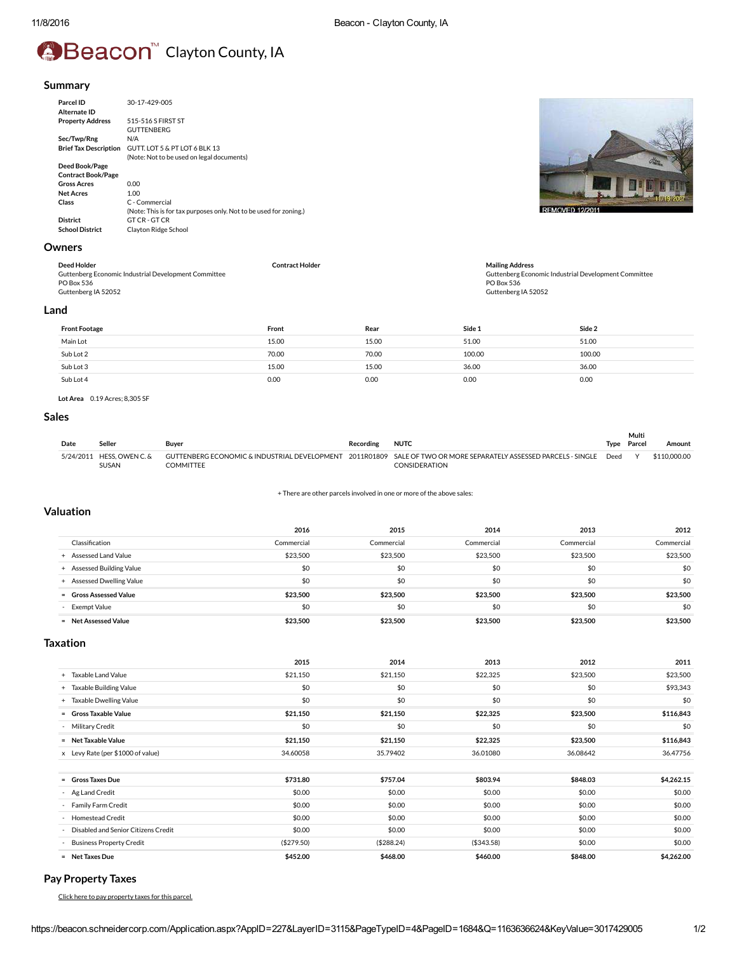# **Beacon**<sup>™</sup> Clayton County, IA

#### Summary

| Parcel ID<br>Alternate ID    | 30-17-429-005                                                     |
|------------------------------|-------------------------------------------------------------------|
| <b>Property Address</b>      | 515-516 S FIRST ST                                                |
|                              | <b>GUTTENBERG</b>                                                 |
| Sec/Twp/Rng                  | N/A                                                               |
| <b>Brief Tax Description</b> | GUTT. LOT 5 & PT LOT 6 BLK 13                                     |
|                              | (Note: Not to be used on legal documents)                         |
| Deed Book/Page               |                                                                   |
| <b>Contract Book/Page</b>    |                                                                   |
| <b>Gross Acres</b>           | 0.00                                                              |
| <b>Net Acres</b>             | 1.00                                                              |
| Class                        | C - Commercial                                                    |
|                              | (Note: This is for tax purposes only. Not to be used for zoning.) |
| <b>District</b>              | GT CR - GT CR                                                     |
| <b>School District</b>       | <b>Clayton Ridge School</b>                                       |
|                              |                                                                   |

# Owners

| Deed Holder                                          | <b>Contract Holder</b> | <b>Mailing Address</b>                               |
|------------------------------------------------------|------------------------|------------------------------------------------------|
| Guttenberg Economic Industrial Development Committee |                        | Guttenberg Economic Industrial Development Committee |
| PO Box 536                                           |                        | PO Box 536                                           |
| Guttenberg IA 52052                                  |                        | Guttenberg IA 52052                                  |
| nnd                                                  |                        |                                                      |

#### Land

| <b>Front Footage</b> | Front | Rear  | Side 1 | Side 2 |
|----------------------|-------|-------|--------|--------|
| Main Lot             | 15.00 | 15.00 | 51.00  | 51.00  |
| Sub Lot 2            | 70.00 | 70.00 | 100.00 | 100.00 |
| Sub Lot 3            | 15.00 | 15.00 | 36.00  | 36.00  |
| Sub Lot 4            | 0.00  | 0.00  | 0.00   | 0.00   |

Lot Area 0.19 Acres; 8,305 SF

# Sales

|      |                                           |           |           |                                                                                                                                          |      | Multi       |              |
|------|-------------------------------------------|-----------|-----------|------------------------------------------------------------------------------------------------------------------------------------------|------|-------------|--------------|
| Date | Seller                                    | Buver     | Recording | <b>NUTC</b>                                                                                                                              |      | Type Parcel | Amount       |
|      | 5/24/2011 HFSS, OWEN C. &<br><b>SUSAN</b> | COMMITTEI |           | GUTTENBERG ECONOMIC & INDUSTRIAL DEVELOPMENT 2011R01809 SALE OF TWO OR MORE SEPARATELY ASSESSED PARCELS - SINGLE<br><b>CONSIDERATION</b> | Deed | $\lambda$   | \$110,000,00 |

[+](javascript:ExpandCollapse() There are other parcels involved in one or more of the above sales:

#### Valuation

|                           | 2016       | 2015       | 2014       | 2013       | 2012       |
|---------------------------|------------|------------|------------|------------|------------|
| Classification            | Commercial | Commercial | Commercial | Commercial | Commercial |
| + Assessed Land Value     | \$23,500   | \$23,500   | \$23,500   | \$23,500   | \$23,500   |
| + Assessed Building Value | \$0        | \$0        | \$0        | \$0        | \$0        |
| + Assessed Dwelling Value | \$0        | \$0        | \$0        | \$0        | \$0        |
| = Gross Assessed Value    | \$23,500   | \$23,500   | \$23,500   | \$23,500   | \$23,500   |
| - Exempt Value            | \$0        | \$0        | \$0        | \$0        | \$0        |
| = Net Assessed Value      | \$23,500   | \$23.500   | \$23,500   | \$23,500   | \$23,500   |

# Taxation

|                                       | 2015        | 2014       | 2013        | 2012     | 2011       |
|---------------------------------------|-------------|------------|-------------|----------|------------|
| + Taxable Land Value                  | \$21,150    | \$21,150   | \$22,325    | \$23,500 | \$23,500   |
| + Taxable Building Value              | \$0         | \$0        | \$0         | \$0      | \$93,343   |
| + Taxable Dwelling Value              | \$0         | \$0        | \$0         | \$0      | \$0        |
| = Gross Taxable Value                 | \$21,150    | \$21,150   | \$22,325    | \$23,500 | \$116,843  |
| - Military Credit                     | \$0         | \$0        | \$0         | \$0      | \$0        |
| = Net Taxable Value                   | \$21,150    | \$21,150   | \$22,325    | \$23,500 | \$116,843  |
| x Levy Rate (per \$1000 of value)     | 34.60058    | 35.79402   | 36.01080    | 36.08642 | 36.47756   |
|                                       |             |            |             |          |            |
| - Gross Taxes Due                     | \$731.80    | \$757.04   | \$803.94    | \$848.03 | \$4,262.15 |
| - Ag Land Credit                      | \$0.00      | \$0.00     | \$0.00      | \$0.00   | \$0.00     |
| Family Farm Credit                    | \$0.00      | \$0.00     | \$0.00      | \$0.00   | \$0.00     |
| - Homestead Credit                    | \$0.00      | \$0.00     | \$0.00      | \$0.00   | \$0.00     |
| - Disabled and Senior Citizens Credit | \$0.00      | \$0.00     | \$0.00      | \$0.00   | \$0.00     |
| <b>Business Property Credit</b>       | ( \$279.50) | (\$288.24) | ( \$343.58) | \$0.00   | \$0.00     |
| = Net Taxes Due                       | \$452.00    | \$468.00   | \$460.00    | \$848.00 | \$4,262.00 |

# Pay Property Taxes

Click here to pay [property](https://pay.iowataxandtags.org/Taxes/Step2/SelectParcels?SelectedCounty=22&Name=&ParcelNumbers=3017429005) taxes for this parcel.